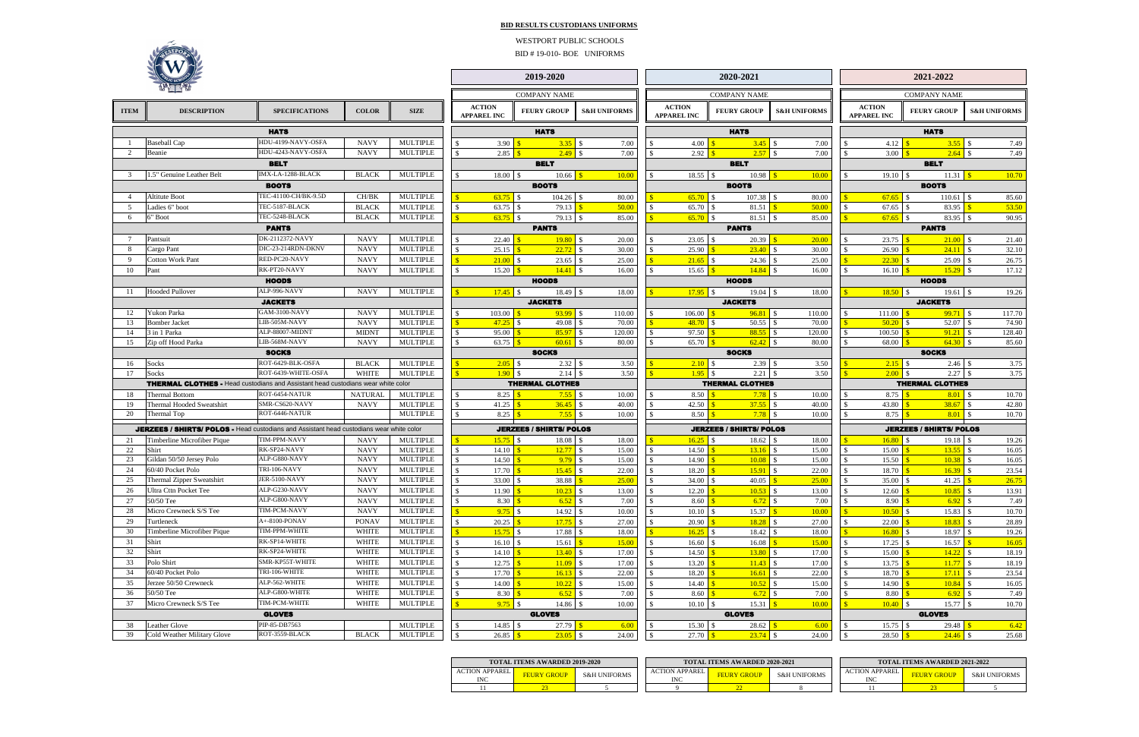**BID RESULTS CUSTODIANS UNIFORMS**

|                                | 2019-2020                                                         |                     |                         |                |                                  | 2020-2021                           |                        |                                |                                        |                                                                             | 2021-2022                           |                              |                                |                             |  |  |
|--------------------------------|-------------------------------------------------------------------|---------------------|-------------------------|----------------|----------------------------------|-------------------------------------|------------------------|--------------------------------|----------------------------------------|-----------------------------------------------------------------------------|-------------------------------------|------------------------------|--------------------------------|-----------------------------|--|--|
|                                |                                                                   | <b>COMPANY NAME</b> |                         |                |                                  | <b>COMPANY NAME</b>                 |                        |                                |                                        |                                                                             |                                     |                              | <b>COMPANY NAME</b>            |                             |  |  |
| NС                             |                                                                   | <b>FEURY GROUP</b>  | <b>S&amp;H UNIFORMS</b> |                |                                  | <b>ACTION</b><br><b>APPAREL INC</b> |                        | <b>FEURY GROUP</b>             | <b>S&amp;H UNIFORMS</b>                |                                                                             | <b>ACTION</b><br><b>APPAREL INC</b> |                              | <b>FEURY GROUP</b>             | <b>S&amp;H UNIFORMS</b>     |  |  |
| <b>HATS</b>                    |                                                                   |                     |                         |                |                                  | <b>HATS</b>                         |                        |                                |                                        |                                                                             | <b>HATS</b>                         |                              |                                |                             |  |  |
| 3.90                           | $\mathbf{s}$                                                      |                     |                         | 7.00           | \$                               | 4.00                                | $\mathbf{s}$           | $3.45$                         | $\mathbb{S}$<br>7.00                   | \$                                                                          | 4.12                                | $\mathbf{s}$                 | 3.55                           | $\mathbf{s}$<br>7.49        |  |  |
| 2.85                           | $\mathbf{s}$                                                      | 2.49                | $\mathcal{S}$           | 7.00           | \$                               | 2.92                                | $\sqrt{3}$             | 2.57                           | $\mathbb{S}$<br>7.00                   | \$                                                                          | 3.00                                | $\mathbf{s}$                 |                                | 7.49                        |  |  |
|                                |                                                                   | <b>BELT</b>         |                         |                |                                  |                                     |                        | <b>BELT</b>                    |                                        |                                                                             |                                     |                              | <b>BELT</b>                    |                             |  |  |
| 8.00                           | $\mathbf{\hat{s}}$                                                | 10.66               | $\mathbf{s}$            | 10.00          | \$                               | 18.55                               | $\mathbb{S}$           | 10.98                          | $\mathbf{\$}$<br>10.00                 | \$                                                                          | 19.10                               | l \$                         | 11.31                          | $\mathbf{s}$<br>10.70       |  |  |
|                                |                                                                   | <b>BOOTS</b>        |                         |                |                                  |                                     |                        | <b>BOOTS</b>                   |                                        |                                                                             |                                     |                              | <b>BOOTS</b>                   |                             |  |  |
| 3.75                           | \$                                                                | 104.26              | $\mathcal{S}$           | 80.00          | $\mathbb{S}$                     | 65.70                               | $\mathbb{S}$           | 107.38                         | $\mathcal{S}$<br>80.00                 | $\sqrt{3}$                                                                  | 67.65                               | $\mathbb{S}$                 | 110.61                         | $\mathcal{S}$<br>85.60      |  |  |
| 3.75                           | <sup>\$</sup>                                                     | 79.13               | $\mathbf{s}$            | 50.00          | \$                               | 65.70                               | \$                     | 81.51                          | $\mathbf{\hat{s}}$<br>50.00            | \$                                                                          | 67.65                               | $\mathbf{s}$                 | 83.95                          | $\mathbf{s}$<br>53.50       |  |  |
| 3.75                           | \$                                                                | 79.13               | -\$                     | 85.00          | $\mathbf{\$}$                    | 65.70                               | \$                     | 81.51                          | \$<br>85.00                            | $\mathbb{S}$                                                                | 67.65                               | <sup>\$</sup>                | 83.95 \$                       | 90.95                       |  |  |
|                                |                                                                   | <b>PANTS</b>        |                         |                |                                  |                                     |                        | <b>PANTS</b>                   |                                        |                                                                             |                                     |                              | <b>PANTS</b>                   |                             |  |  |
| 2.40                           | $\mathbf{s}$                                                      | 19.80               | $\mathcal{S}$           | 20.00          | \$                               | 23.05                               | $\mathbb{S}$           | 20.39                          | $\overline{\mathbf{S}}$<br>20.00       | \$                                                                          | 23.75                               | $\mathbf{s}$                 | $21.00$ \$                     | 21.40                       |  |  |
| 5.15                           | $\mathbf{s}$                                                      | 22.72               | $\mathcal{S}$           | 30.00          | \$                               | 25.90                               | $\mathbf{s}$           | 23.40                          | $\mathcal{S}$<br>30.00                 | \$                                                                          | 26.90                               | $\mathbf{s}$                 | 24.11                          | $\blacksquare$<br>32.10     |  |  |
| 1.00                           | $\mathbb{S}$<br>$\mathbf{\hat{s}}$                                | $23.65$ \$          |                         | 25.00          | $\overline{\mathbb{S}}$          | 21.65                               | $\mathbb{S}$           | 24.36                          | $\mathbb{S}$<br>25.00<br>$\mathcal{S}$ | $\sqrt{3}$                                                                  | 22.30                               | $\mathbb{S}$<br>$\mathbf{s}$ | 25.09                          | $\mathbf{\hat{S}}$<br>26.75 |  |  |
| 5.20                           |                                                                   | <b>HOODS</b>        |                         | 16.00          | \$                               | 15.65                               | $\sqrt{3}$             | 14.84<br><b>HOODS</b>          | 16.00                                  | \$                                                                          | 16.10                               |                              | $15.29$ \$<br><b>HOODS</b>     | 17.12                       |  |  |
| 7.45                           |                                                                   |                     |                         |                | $\mathbb{S}$                     |                                     | $\mathbb{S}$           | 19.04                          | $\mathcal{S}$                          |                                                                             |                                     |                              |                                |                             |  |  |
|                                | 18.49<br>$\mathcal{S}$<br>$\mathbb{S}$<br>18.00<br><b>JACKETS</b> |                     |                         |                | 17.95<br>18.00<br><b>JACKETS</b> |                                     |                        |                                |                                        | $\mathbf{\hat{s}}$<br>18.50<br>19.26<br>-S<br>19.61<br>-S<br><b>JACKETS</b> |                                     |                              |                                |                             |  |  |
| 3.00                           | $\mathbf{S}$                                                      | $93.99$ \$          |                         | 110.00         | \$                               | 106.00                              | $\sqrt{3}$             | 96.81                          | -\$<br>110.00                          | \$                                                                          | 111.00                              | $\mathbf{s}$                 |                                | 117.70                      |  |  |
| $-7.25$                        | \$                                                                | 49.08               | $\mathcal{S}$           | 70.00          | $\sqrt{\frac{2}{5}}$             | 48.70                               | $\mathbb{S}$           | 50.55                          | $\mathcal{S}$<br>70.00                 | $\mathbf{\$}$                                                               | 50.20                               | $\mathbf{\hat{s}}$           | 52.07                          | $\mathbf{\hat{S}}$<br>74.90 |  |  |
| 5.00                           | $\mathbf{s}$                                                      | 85.97               | $\mathsf{I}$            | 120.00         | \$                               | 97.50                               | $\mathbf{s}$           | 88.55                          | $\mathbb{S}$<br>120.00                 | \$                                                                          | 100.50                              | $\mathbf{s}$                 | 91.21                          | $\blacksquare$<br>128.40    |  |  |
| 3.75                           | \$                                                                |                     |                         | 80.00          | \$                               | 65.70                               | $\mathbf{s}$           | 62.42                          | $\mathcal{S}$<br>80.00                 | \$                                                                          | 68.00                               | $\mathbf{s}$                 | $64.30$ \$                     | 85.60                       |  |  |
|                                |                                                                   | <b>SOCKS</b>        |                         |                |                                  |                                     |                        | <b>SOCKS</b>                   |                                        |                                                                             |                                     |                              | <b>SOCKS</b>                   |                             |  |  |
| 2.05                           | \$                                                                | 2.32                | -S                      | 3.50           | $\mathbf{\$}$                    | 2.10                                | S                      | 2.39                           | \$<br>3.50                             | \$                                                                          | 2.15                                | -\$                          | 2.46                           | -\$<br>3.75                 |  |  |
| 1.90                           | $\mathbb{S}$                                                      | 2.14                | $\mathcal{S}$           | 3.50           | $\sqrt{\frac{2}{5}}$             | 1.95                                | <sup>\$</sup>          | 2.21                           | $\mathcal{S}$<br>3.50                  | $\mathbf{s}$                                                                | 2.00                                | -S                           | 2.27                           | $\mathcal{S}$<br>3.75       |  |  |
| <b>THERMAL CLOTHES</b>         |                                                                   |                     |                         |                |                                  |                                     | <b>THERMAL CLOTHES</b> |                                |                                        |                                                                             |                                     | <b>THERMAL CLOTHES</b>       |                                |                             |  |  |
| 8.25                           |                                                                   | 7.55                | -\$                     | 10.00          | \$                               | 8.50                                | $\mathbf{s}$           | 7.78                           | $\mathcal{S}$<br>10.00                 | \$                                                                          | 8.75                                | $\mathbf{s}$                 |                                | 10.70                       |  |  |
| $-1.25$                        | $\mathbf{s}$                                                      | 36.45               | $\mathcal{S}$           | 40.00          | \$                               | 42.50                               | $\mathbf{s}$           | 37.55                          | $\mathcal{S}$<br>40.00                 | \$                                                                          | 43.80                               | $\mathbf{\$}$                | 38.67                          | -\$<br>42.80                |  |  |
| 8.25                           | $\mathbf{s}$                                                      | 7.55                | $\mathcal{S}$           | 10.00          | \$                               | 8.50                                | $\mathbf{s}$           | 7.78                           | $\mathcal{S}$<br>10.00                 | \$                                                                          | 8.75                                | $\mathbf{s}$                 | 8.01                           | -S<br>10.70                 |  |  |
| <b>JERZEES / SHIRTS/ POLOS</b> |                                                                   |                     |                         |                |                                  |                                     |                        | <b>JERZEES / SHIRTS/ POLOS</b> |                                        |                                                                             |                                     |                              | <b>JERZEES / SHIRTS/ POLOS</b> |                             |  |  |
| 5.75                           | \$                                                                | 18.08               | <b>S</b>                | 18.00          | $\sqrt{\frac{2}{5}}$             | 16.25                               | \$                     | 18.62                          | \$<br>18.00                            | $\mathbb{S}$                                                                | 16.80                               | -S                           |                                | 19.26                       |  |  |
| 4.10                           | $\mathbf{s}$                                                      | 12.77               | $\mathcal{S}$           | 15.00          | \$                               | 14.50                               | $\sqrt{3}$             | 13.16                          | $\mathcal{S}$<br>15.00                 | \$                                                                          | 15.00                               | $\mathbf{s}$                 | 13.55                          | $\blacksquare$<br>16.05     |  |  |
| 4.50                           | $\mathbf{s}$                                                      | 9.79                | $\mathcal{S}$           | 15.00          | \$                               | 14.90                               | $\mathbf{s}$           | 10.08                          | $\mathcal{S}$<br>15.00                 | \$                                                                          | 15.50                               | $\mathbf{s}$                 | 10.38                          | $\sqrt{S}$<br>16.05         |  |  |
| 7.70                           | $\mathbf{\$}$                                                     | 15.45               | $\mathcal{S}$           | 22.00          | \$                               | 18.20                               | $\mathbf{s}$           | 15.91                          | $\mathcal{S}$<br>22.00                 | \$                                                                          | 18.70                               | $\mathbf{s}$                 | 16.39                          | -\$<br>23.54                |  |  |
| $3.00 \, \text{S}$             |                                                                   | 38.88               | $\mathbf{s}$            | 25.00          | $\mathbb{S}$                     | 34.00                               | $\mathbf{\hat{s}}$     | 40.05                          | $\overline{\mathbf{S}}$<br>25.00       | $\mathbb{S}$                                                                | 35.00                               | $\sqrt{3}$                   | 41.25                          | $\sqrt{s}$<br>26.75         |  |  |
| 1.90                           | $\mathbf{s}$                                                      | $10.23$ \$          |                         | 13.00          | \$                               | 12.20                               | $\mathbf{s}$           | 10.53                          | \$<br>13.00                            | \$                                                                          | 12.60                               | $\sqrt{3}$                   |                                | 13.91                       |  |  |
| 8.30                           |                                                                   |                     |                         | 7.00           | \$                               | 8.60                                | $\mathbf{s}$           | 6.72                           | $\mathcal{S}$<br>7.00                  | \$                                                                          | 8.90                                | $\mathbf{s}$                 |                                | 7.49                        |  |  |
| 9.75                           | <b>S</b>                                                          |                     |                         | 10.00          | \$                               | 10.10                               | $\mathcal{S}$          | 15.37                          | $\mathbf{\$}$<br>10.00                 | $\sqrt{3}$                                                                  |                                     |                              | $15.83 \tImes$                 | 10.70                       |  |  |
| 0.25<br>5.75                   | $\mathbf{s}$<br>\$                                                | 17.88 \$            |                         | 27.00          | \$<br>$\sqrt{\frac{2}{5}}$       | 20.90<br>16.25                      | $\sqrt{3}$<br>-S       | $18.28$ \$                     | 27.00<br>$\mathbb{S}$<br>18.00         | \$<br>$\mathbf{\$}$                                                         | 22.00<br>16.80                      | $\mathbf{s}$<br>-S           | $18.83$ \$                     | 28.89<br>19.26              |  |  |
| 6.10                           | <sup>\$</sup>                                                     | 15.61               | $\mathbf{s}$            | 18.00<br>15.00 | \$                               | 16.60                               | $\mathcal{S}$          | 18.42<br>16.08                 | $\mathbf{\$}$<br>15.00                 | \$                                                                          |                                     |                              | 16.57                          | $\mathbf{s}$<br>16.05       |  |  |
| 4.10                           | $\mathbf{s}$                                                      | $13.40$ \$          |                         | 17.00          | \$                               | 14.50                               | $\sqrt{3}$             |                                | 17.00                                  | \$                                                                          |                                     |                              |                                | 18.19                       |  |  |
| 2.75                           | $\mathbf{\$}$                                                     | $11.09$ \$          |                         | 17.00          | \$                               | 13.20                               | $\sqrt{3}$             |                                | 17.00                                  | \$                                                                          | 13.75                               | $\mathbf{s}$                 | $11.77$ \$                     | 18.19                       |  |  |
| 7.70                           | $\mathbf{s}$                                                      |                     |                         | 22.00          | \$                               | 18.20                               | $\mathbf{s}$           |                                | 22.00                                  | \$                                                                          | 18.70                               | $\mathbf{\$}$                |                                | 23.54                       |  |  |
| 4.00                           | $\mathbf{s}$                                                      | $10.22$ \$          |                         | 15.00          | \$                               | 14.40                               | $\mathbf{\$}$          | $10.52$ \$                     | 15.00                                  | \$                                                                          | 14.90                               | $\mathbf{\$}$                | $10.84$ \$                     | 16.05                       |  |  |
| 8.30                           | $\mathbf{s}$                                                      |                     |                         | 7.00           | \$                               | 8.60                                | $\mathbf{s}$           |                                | 7.00                                   | \$                                                                          | 8.80                                | $\mathbf{s}$                 |                                | 7.49                        |  |  |
| 9.75                           | \$                                                                |                     |                         | 10.00          | \$                               |                                     |                        | $15.31$ $\frac{\$}{}$          | 10.00                                  | $\mathbf{\$}$                                                               |                                     |                              |                                | 10.70                       |  |  |
|                                |                                                                   | <b>GLOVES</b>       |                         |                |                                  |                                     |                        | <b>GLOVES</b>                  |                                        |                                                                             |                                     |                              | <b>GLOVES</b>                  |                             |  |  |
| $4.85$ \$                      |                                                                   |                     |                         | 6.00           | \$                               | $15.30 \, \text{S}$                 |                        | $28.62$   \$                   | 6.00                                   | \$                                                                          | $15.75$ \\$                         |                              |                                | 6.42                        |  |  |
| $6.85$ \$                      |                                                                   | $23.05$ \$          |                         | 24.00          | \$                               | $27.70$ \$                          |                        |                                | 24.00                                  | \$                                                                          | 28.50                               | $\mathbf{s}$                 |                                | 25.68                       |  |  |

|                                     | <b>TOTAL ITEMS AWARDED 2019-2020</b>          |  |                                     | <b>TOTAL ITEMS AWARDED 2020-2021</b> |                         | <b>TOTAL ITEMS AWARDED 2021-2022</b>     |                    |              |  |  |  |
|-------------------------------------|-----------------------------------------------|--|-------------------------------------|--------------------------------------|-------------------------|------------------------------------------|--------------------|--------------|--|--|--|
| <b>ACTION APPAREL</b><br><b>INC</b> | <b>S&amp;H UNIFORMS</b><br><b>FEURY GROUP</b> |  | <b>ACTION APPAREL</b><br><b>INC</b> | FEURY GROUP                          | <b>S&amp;H UNIFORMS</b> | <b>ACTION APPAREL</b><br>IN <sub>C</sub> | <b>FEURY GROUP</b> | S&H UNIFORMS |  |  |  |
|                                     |                                               |  |                                     |                                      |                         |                                          |                    |              |  |  |  |



| WV.          |                                                                                                 |                                  |                              |                                    |               |                                     | 2019-2020                      |                         |                    |                                            | 2020-2021                           |                         | 2021-2022                           |                                   |                         |                |  |
|--------------|-------------------------------------------------------------------------------------------------|----------------------------------|------------------------------|------------------------------------|---------------|-------------------------------------|--------------------------------|-------------------------|--------------------|--------------------------------------------|-------------------------------------|-------------------------|-------------------------------------|-----------------------------------|-------------------------|----------------|--|
|              |                                                                                                 |                                  |                              |                                    |               |                                     | <b>COMPANY NAME</b>            |                         |                    |                                            | <b>COMPANY NAME</b>                 |                         |                                     | <b>COMPANY NAME</b>               |                         |                |  |
| <b>ITEM</b>  | <b>DESCRIPTION</b>                                                                              | <b>SPECIFICATIONS</b>            | <b>COLOR</b>                 | <b>SIZE</b>                        |               | <b>ACTION</b><br><b>APPAREL INC</b> | <b>FEURY GROUP</b>             | <b>S&amp;H UNIFORMS</b> |                    | <b>ACTION</b><br><b>APPAREL INC</b>        | <b>FEURY GROUP</b>                  | <b>S&amp;H UNIFORMS</b> | <b>ACTION</b><br><b>APPAREL INC</b> | <b>FEURY GROUP</b>                | <b>S&amp;H UNIFORMS</b> |                |  |
|              |                                                                                                 | <b>HATS</b>                      |                              |                                    |               |                                     | <b>HATS</b>                    |                         |                    |                                            | <b>HATS</b>                         |                         |                                     | <b>HATS</b>                       |                         |                |  |
|              | <b>Baseball Cap</b>                                                                             | HDU-4199-NAVY-OSFA               | <b>NAVY</b>                  | <b>MULTIPLE</b>                    |               | 3.90                                |                                | 7.00                    |                    | 4.00 <sup>o</sup>                          | $3.45$ \$                           | 7.00                    | 4.12                                | $3.55$ \$                         |                         | 7.49           |  |
|              | Beanie                                                                                          | HDU-4243-NAVY-OSFA               | <b>NAVY</b>                  | <b>MULTIPLE</b>                    |               | 2.85                                | $2.49$ \$                      | 7.00                    |                    | $2.92$ $\sqrt{\}$                          |                                     | 7.00                    | 3.00                                | $2.64$ \$                         |                         | 7.49           |  |
|              |                                                                                                 | <b>BELT</b>                      |                              |                                    |               |                                     | <b>BELT</b>                    |                         |                    |                                            | <b>BELT</b>                         |                         |                                     | <b>BELT</b>                       |                         |                |  |
|              | 1.5" Genuine Leather Belt                                                                       | IMX-LA-1288-BLACK                | <b>BLACK</b>                 | <b>MULTIPLE</b>                    |               | 18.00 \$                            |                                | 10.00                   |                    | $18.55$ \$                                 | 10.98                               | 10.00                   |                                     | 11.31                             |                         | 10.70          |  |
|              |                                                                                                 | <b>BOOTS</b>                     |                              |                                    |               |                                     | <b>BOOTS</b>                   |                         |                    |                                            | <b>BOOTS</b>                        |                         |                                     | <b>BOOTS</b>                      |                         |                |  |
|              | <b>Altitute Boot</b>                                                                            | TEC-41100-CH/BK-9.5D             | CH/BK                        | <b>MULTIPLE</b>                    |               |                                     | $104.26$ \$                    | 80.00                   |                    |                                            |                                     | 80.00                   |                                     | $110.61$ \$                       |                         | 85.60          |  |
| .5           | Ladies 6" boot                                                                                  | TEC-5187-BLACK                   | <b>BLACK</b>                 | <b>MULTIPLE</b>                    | -S            |                                     | 79.13                          | 50.00                   | - \$               |                                            | 81.51 $\sqrt{$}$                    | 50.00                   | 67.65                               | 83.95                             |                         | 53.50          |  |
| 6            | 6" Boot                                                                                         | TEC-5248-BLACK                   | <b>BLACK</b>                 | <b>MULTIPLE</b>                    |               | $63.75$ \$                          | $79.13$ \$                     | 85.00                   |                    |                                            | $81.51$ \$                          | 85.00                   |                                     | $67.65$ \$<br>83.95 \$            |                         | 90.95          |  |
|              |                                                                                                 | <b>PANTS</b>                     |                              |                                    |               |                                     | <b>PANTS</b>                   |                         |                    |                                            | <b>PANTS</b>                        |                         |                                     | <b>PANTS</b>                      |                         |                |  |
|              | Pantsuit                                                                                        | DK-2112372-NAVY                  | <b>NAVY</b>                  | <b>MULTIPLE</b>                    |               | 22.40                               |                                | 20.00                   |                    |                                            | 20.39                               | 20.00                   | 23.75                               | $21.00$ \$                        |                         | 21.40          |  |
| 8            | Cargo Pant                                                                                      | DIC-23-214RDN-DKNV               | <b>NAVY</b>                  | <b>MULTIPLE</b>                    |               | 25.15                               | $22.72$ \$                     | 30.00                   |                    | 25.90                                      |                                     | 30.00                   | 26.90                               | $24.11$ \$                        |                         | 32.10          |  |
| $\mathbf{Q}$ | <b>Cotton Work Pant</b>                                                                         | RED-PC20-NAVY                    | <b>NAVY</b>                  | <b>MULTIPLE</b>                    |               | $21.00$ \$                          |                                | 25.00                   |                    | $21.65$ \$                                 |                                     | 25.00                   | $22.30$ \$                          | $25.09$ \$                        |                         | 26.75          |  |
| 10           | Pant                                                                                            | RK-PT20-NAVY                     | <b>NAVY</b>                  | <b>MULTIPLE</b>                    |               | $15.20$   \$                        |                                | 16.00                   |                    | $15.65$ $\sqrt{\frac{8}{5}}$               |                                     | 16.00                   | 16.10                               | $15.29$ \$                        |                         | 17.12          |  |
|              |                                                                                                 | <b>HOODS</b>                     |                              |                                    |               |                                     | <b>HOODS</b>                   |                         |                    |                                            | <b>HOODS</b>                        |                         |                                     | <b>HOODS</b>                      |                         |                |  |
| 11           | <b>Hooded Pullover</b>                                                                          | ALP-996-NAVY                     | <b>NAVY</b>                  | <b>MULTIPLE</b>                    |               |                                     | $18.49$ \$                     | 18.00                   |                    | $17.95$ \$                                 | $19.04$ \$                          | 18.00                   |                                     | $19.61 \text{ S}$                 |                         | 19.26          |  |
|              |                                                                                                 | <b>JACKETS</b>                   |                              |                                    |               |                                     | <b>JACKETS</b>                 |                         |                    |                                            | <b>JACKETS</b>                      |                         |                                     | <b>JACKETS</b>                    |                         |                |  |
| 12           | Yukon Parka                                                                                     | <b>GAM-3100-NAVY</b>             | <b>NAVY</b>                  | MULTIPLE                           |               | 103.00                              | $93.99$ \$                     | 110.00                  |                    |                                            |                                     | 110.00                  | 111.00                              | $99.71$ \$                        |                         | 117.70         |  |
| 13           | <b>Bomber Jacket</b>                                                                            | LIB-505M-NAVY                    | <b>NAVY</b>                  | MULTIPLE                           |               |                                     | 49.08                          | 70.00                   |                    | 48.70 S                                    |                                     | 70.00                   | 50.20                               |                                   |                         | 74.90          |  |
| 14           | 3 in 1 Parka                                                                                    | ALP-88007-MIDNT                  | <b>MIDNT</b>                 | <b>MULTIPLE</b>                    |               | 95.00                               |                                | 120.00                  |                    | 97.50 $\frac{\text{S}}{\text{S}}$          |                                     | 120.00                  | 100.50                              |                                   |                         | 128.40         |  |
| 15           | Zip off Hood Parka                                                                              | LIB-568M-NAVY                    | <b>NAVY</b>                  | MULTIPLE                           |               | 63.75 $\frac{\$}{}$                 | $60.61$ \$                     | 80.00                   |                    | $65.70$ $\sqrt{\frac{5}{}}$                |                                     | 80.00                   | 68.00                               |                                   |                         | 85.60          |  |
|              |                                                                                                 | <b>SOCKS</b>                     |                              |                                    |               |                                     | <b>SOCKS</b>                   |                         |                    |                                            | <b>SOCKS</b>                        |                         |                                     | <b>SOCKS</b>                      |                         |                |  |
| 16           | Socks                                                                                           | ROT-6429-BLK-OSFA                | <b>BLACK</b>                 | <b>MULTIPLE</b>                    |               |                                     |                                | 3.50                    |                    |                                            | $2.39$ \$                           | 3.50                    |                                     |                                   |                         | 3.75           |  |
| 17           | Socks                                                                                           | ROT-6439-WHITE-OSFA              | <b>WHITE</b>                 | <b>MULTIPLE</b>                    |               |                                     | $2.14 \tS$                     | 3.50                    |                    |                                            | $2.21 \, \text{S}$                  | 3.50                    |                                     | $2.27 \t$ \$<br>$2.00 \ \ \ \$$   |                         | 3.75           |  |
|              | <b>THERMAL CLOTHES - Head custodians and Assistant head custodians wear white color</b>         |                                  |                              |                                    |               |                                     | <b>THERMAL CLOTHES</b>         |                         |                    |                                            | <b>THERMAL CLOTHES</b>              |                         |                                     | <b>THERMAL CLOTHES</b>            |                         |                |  |
| 18           | <b>Thermal Bottom</b>                                                                           | ROT-6454-NATUR                   | <b>NATURAL</b>               | <b>MULTIPLE</b>                    |               |                                     | $7.55$ \$                      | 10.00                   |                    | 8.50 <sup>o</sup>                          | $7.78$ \$                           | 10.00                   | 8.75                                |                                   |                         | 10.70          |  |
| 19<br>20     | Thermal Hooded Sweatshirt                                                                       | SMR-CS620-NAVY<br>ROT-6446-NATUR | <b>NAVY</b>                  | <b>MULTIPLE</b><br><b>MULTIPLE</b> | -8            | 41.25<br>8.25                       | $7.55$ \$                      | 40.00<br>10.00          |                    | 42.50<br>8.50                              |                                     | 40.00<br>10.00          | 43.80                               | $8.01 \text{ }$ \$                |                         | 42.80          |  |
|              | Thermal Top                                                                                     |                                  |                              |                                    |               |                                     |                                |                         |                    |                                            |                                     |                         | 8.75                                |                                   |                         | 10.70          |  |
|              | <b>JERZEES / SHIRTS/ POLOS - Head custodians and Assistant head custodians wear white color</b> |                                  |                              |                                    |               |                                     | <b>JERZEES / SHIRTS/ POLOS</b> |                         |                    |                                            | <b>JERZEES / SHIRTS/ POLOS</b>      |                         |                                     | <b>JERZEES / SHIRTS/ POLOS</b>    |                         |                |  |
| 21           | Timberline Microfiber Pique                                                                     | TIM-PPM-NAVY                     | <b>NAVY</b>                  | <b>MULTIPLE</b>                    |               |                                     | 18.08 \$                       | 18.00                   |                    | $16.25$ \$                                 | $18.62 \text{ }$ \$                 | 18.00                   |                                     | $19.18$ \$                        |                         | 19.26          |  |
| 22           | Shirt                                                                                           | RK-SP24-NAVY                     | <b>NAVY</b>                  | <b>MULTIPLE</b>                    |               | 14.10                               | $12.77$ \$                     | 15.00                   |                    |                                            | $13.16$ \$                          | 15.00                   | 15.00                               |                                   |                         | 16.05          |  |
| 23           | Gildan 50/50 Jersey Polo                                                                        | ALP-G880-NAVY                    | <b>NAVY</b>                  | <b>MULTIPLE</b>                    |               | 14.50                               |                                | 15.00                   |                    | 14.90                                      | 10.08                               | <sup>S</sup><br>15.00   | 15.50                               |                                   |                         | 16.05          |  |
| 24           | 60/40 Pocket Polo                                                                               | TRI-106-NAVY                     | <b>NAVY</b>                  | MULTIPLE                           |               | 17.70                               | $15.45$ \$                     | 22.00                   |                    | 18.20                                      | 15.91                               | 22.00<br>$\mathsf{S}$   | 18.70                               | $16.39$ \$                        |                         | 23.54          |  |
| 25           | <b>Thermal Zipper Sweatshirt</b>                                                                | JER-5100-NAVY                    | <b>NAVY</b>                  | <b>MULTIPLE</b>                    | $\sqrt{S}$    | $33.00 \text{ S}$                   | 38.88 $\frac{\ }{8}$           | 25.00                   | $\mathbf{s}$       | $34.00 \text{ S}$                          |                                     | 25.00                   | $\mathcal{L}$                       | 41.25 $\frac{\text{S}}{\text{S}}$ |                         | 26.75          |  |
| 26           | <b>Ultra Cttn Pocket Tee</b>                                                                    | ALP-G230-NAVY                    | <b>NAVY</b>                  | MULTIPLE                           | $\mathcal{S}$ | $11.90$ $\sqrt{$}$                  |                                | 13.00                   | $\mathbf{\hat{s}}$ | $12.20$ $\sqrt{\frac{g}{g}}$               | $10.53$ \$                          | 13.00                   | 12.60                               | $10.85$ \$                        |                         | 13.91          |  |
| 27           | 50/50 Tee                                                                                       | ALP-G800-NAVY                    | <b>NAVY</b>                  | MULTIPLE                           |               | 8.30                                | $6.52$ \$                      | 7.00                    |                    | 8.60                                       |                                     | 7.00                    | 8.90                                |                                   |                         | 7.49           |  |
| 28           | Micro Crewneck S/S Tee                                                                          | TIM-PCM-NAVY<br>A+-8100-PONAV    | <b>NAVY</b>                  | MULTIPLE                           |               | $9.75$ \$                           | 14.92 \$                       | 10.00                   |                    | $10.10$ \$                                 |                                     | 10.00                   |                                     | $15.83$ \$<br>$10.50$ \$          |                         | 10.70          |  |
| 29           | Turtleneck                                                                                      | TIM-PPM-WHITE                    | <b>PONAV</b>                 | MULTIPLE                           |               |                                     | $17.75$ \$                     | 27.00                   |                    | $20.90$ $\sqrt{$}$                         | $18.28$ \$                          | 27.00                   | 22.00                               | $18.83$ \$                        |                         | 28.89          |  |
| 30           | Timberline Microfiber Pique                                                                     | RK-SP14-WHITE                    | <b>WHITE</b>                 | MULTIPLE                           |               |                                     | 17.88 \$                       | 18.00                   |                    | $16.25$ \$                                 | 18.42 \$                            | 18.00                   |                                     | $18.97$ \$<br>$16.80$ \$          |                         | 19.26          |  |
| 31<br>32     | Shirt<br>Shirt                                                                                  | RK-SP24-WHITE                    | <b>WHITE</b><br><b>WHITE</b> | MULTIPLE<br>MULTIPLE               |               | $16.10 \, \text{S}$                 | 15.61                          | 15.00                   |                    | $16.60 \, \text{S}$                        | $16.08$ $\frac{\text{S}}{\text{S}}$ | 15.00                   |                                     | 16.57 $\frac{\$}{}$<br>$17.25$ \$ |                         | 16.05          |  |
| 33           | Polo Shirt                                                                                      | SMR-KP55T-WHITE                  | <b>WHITE</b>                 | MULTIPLE                           |               |                                     | $13.40$ \$                     | 17.00                   |                    |                                            | $13.80$ \$                          | 17.00                   | 15.00                               | $14.22$ \$                        |                         | 18.19          |  |
| 34           | 60/40 Pocket Polo                                                                               | TRI-106-WHITE                    | <b>WHITE</b>                 | MULTIPLE                           |               | 17.70                               | $11.09$ \$<br>$16.13$ \$       | 17.00                   |                    | 13.20 $\frac{\text{S}}{\text{S}}$<br>18.20 |                                     | 17.00                   | 13.75                               | $11.77$ \$<br>$17.11$ \$          |                         | 18.19          |  |
| 35           | Jerzee 50/50 Crewneck                                                                           | ALP-562-WHITE                    | <b>WHITE</b>                 | MULTIPLE                           |               | 14.00                               | $10.22$ \$                     | 22.00<br>15.00          |                    | 14.40                                      |                                     | 22.00<br>15.00          | 18.70<br>14.90                      | $10.84$ \$                        |                         | 23.54<br>16.05 |  |
| 36           | 50/50 Tee                                                                                       | ALP-G800-WHITE                   | <b>WHITE</b>                 | MULTIPLE                           | $\mathcal{S}$ | 8.30 <sup>8</sup>                   | $6.52$ \$                      | 7.00                    |                    | 8.60                                       |                                     | 7.00                    | 8.80                                |                                   |                         | 7.49           |  |
| 37           | Micro Crewneck S/S Tee                                                                          | TIM-PCM-WHITE                    | <b>WHITE</b>                 | MULTIPLE                           |               | $9.75$ \$                           | $14.86$ \$                     | 10.00                   |                    |                                            | $15.31$ $\frac{\$}{}$               | 10.00                   |                                     |                                   |                         | 10.70          |  |
|              |                                                                                                 | <b>GLOVES</b>                    |                              |                                    |               |                                     | <b>GLOVES</b>                  |                         |                    |                                            | <b>GLOVES</b>                       |                         |                                     | <b>GLOVES</b>                     |                         |                |  |
| 38           | Leather Glove                                                                                   | PIP-85-DB7563                    |                              | MULTIPLE                           | -\$           |                                     | $27.79$ \$                     | 6.00                    |                    | $15.30$ \$                                 | 28.62 $\frac{\ }{8}$                | 6.00                    |                                     | $15.75$ \$                        |                         | 6.42           |  |
| 39           | Cold Weather Military Glove                                                                     | ROT-3559-BLACK                   | <b>BLACK</b>                 | MULTIPLE                           | $\mathcal{S}$ |                                     | $23.05$ \$                     | 24.00                   | $\mathbf{\hat{s}}$ | 27.70 $\frac{\text{S}}{\text{S}}$          |                                     | 24.00                   | 28.50                               |                                   |                         | 25.68          |  |
|              |                                                                                                 |                                  |                              |                                    |               |                                     |                                |                         |                    |                                            |                                     |                         |                                     |                                   |                         |                |  |

## WESTPORT PUBLIC SCHOOLS

BID # 19-010- BOE UNIFORMS